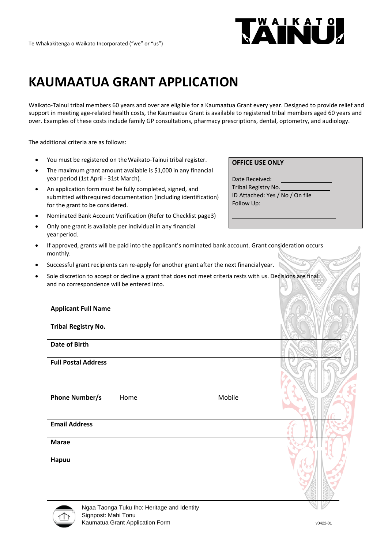

# **KAUMAATUA GRANT APPLICATION**

Waikato-Tainui tribal members 60 years and over are eligible for a Kaumaatua Grant every year. Designed to provide relief and support in meeting age-related health costs, the Kaumaatua Grant is available to registered tribal members aged 60 years and over. Examples of these costs include family GP consultations, pharmacy prescriptions, dental, optometry, and audiology.

The additional criteria are as follows:

- You must be registered on the Waikato-Tainui tribal register.
- The maximum grant amount available is \$1,000 in any financial year period (1st April - 31st March).
- An application form must be fully completed, signed, and submitted withrequired documentation (including identification) for the grant to be considered.
- Nominated Bank Account Verification (Refer to Checklist page3)
- Only one grant is available per individual in any financial year period.

### **OFFICE USE ONLY**

Date Received: Tribal Registry No. ID Attached: Yes / No / On file Follow Up:

- If approved, grants will be paid into the applicant's nominated bank account. Grant consideration occurs monthly.
- Successful grant recipients can re-apply for another grant after the next financial year.
- Sole discretion to accept or decline a grant that does not meet criteria rests with us. Decisions are final and no correspondence will be entered into.

| <b>Applicant Full Name</b> |      |        |  |
|----------------------------|------|--------|--|
| <b>Tribal Registry No.</b> |      |        |  |
| <b>Date of Birth</b>       |      |        |  |
| <b>Full Postal Address</b> |      |        |  |
| <b>Phone Number/s</b>      | Home | Mobile |  |
| <b>Email Address</b>       |      |        |  |
| <b>Marae</b>               |      |        |  |
| Hapuu                      |      |        |  |
|                            |      |        |  |

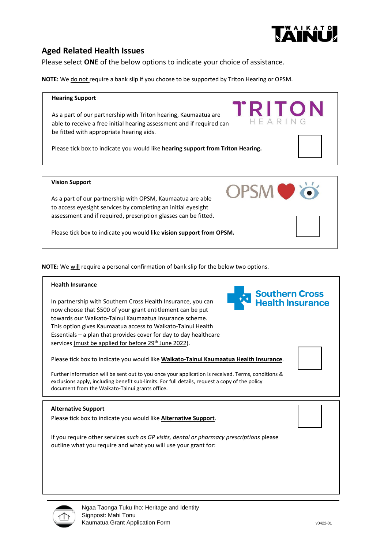

## **Aged Related Health Issues**

Please select **ONE** of the below options to indicate your choice of assistance.

**NOTE:** We do not require a bank slip if you choose to be supported by Triton Hearing or OPSM.

#### **Hearing Support**

As a part of our partnership with Triton hearing, Kaumaatua are able to receive a free initial hearing assessment and if required can be fitted with appropriate hearing aids.

Please tick box to indicate you would like **hearing support from Triton Hearing.**

#### **Vision Support**

As a part of our partnership with OPSM, Kaumaatua are able to access eyesight services by completing an initial eyesight assessment and if required, prescription glasses can be fitted.

Please tick box to indicate you would like **vision support from OPSM.**

**NOTE:** We will require a personal confirmation of bank slip for the below two options.

#### **Health Insurance**

In partnership with Southern Cross Health Insurance, you can now choose that \$500 of your grant entitlement can be put towards our Waikato-Tainui Kaumaatua Insurance scheme. This option gives Kaumaatua access to Waikato-Tainui Health Essentials – a plan that provides cover for day to day healthcare services (must be applied for before 29<sup>th</sup> June 2022).

Please tick box to indicate you would like **Waikato-Tainui Kaumaatua Health Insurance**.

Further information will be sent out to you once your application is received. Terms, conditions & exclusions apply, including benefit sub-limits. For full details, request a copy of the policy document from the Waikato-Tainui grants office.

#### **Alternative Support**

Please tick box to indicate you would like **Alternative Support**.

If you require other services *such as GP visits, dental or pharmacy prescriptions* please outline what you require and what you will use your grant for:





**Southern Cross Jealth Insurance** 

RITC